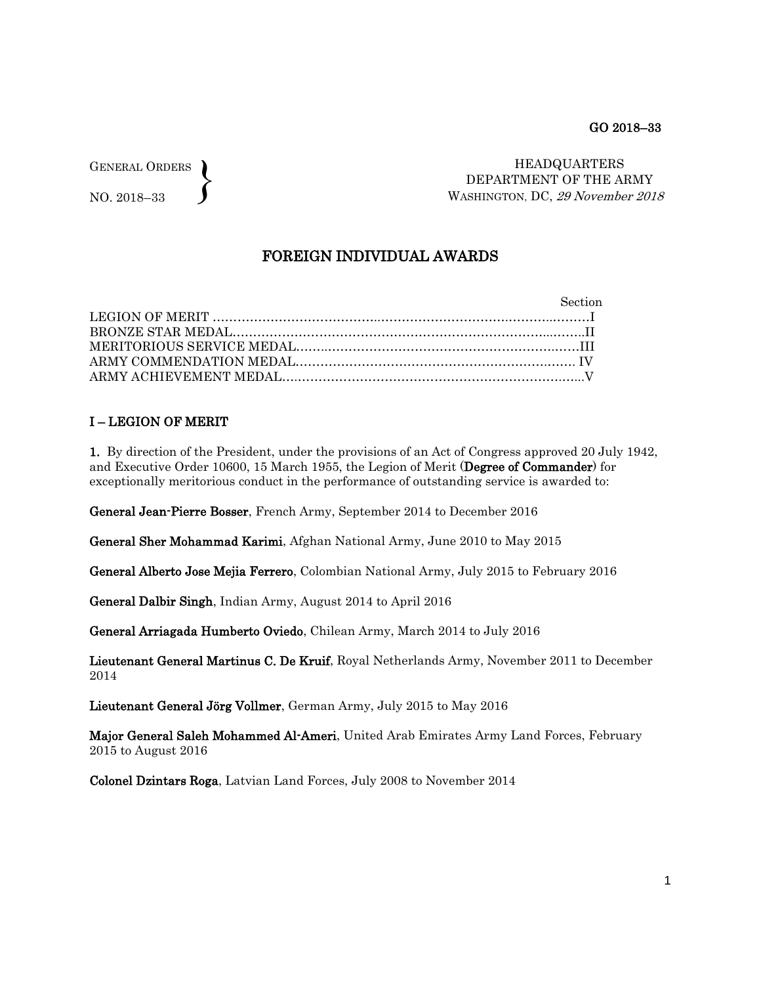GENERAL ORDERS NO. 2018–33  $\left\{ \right\}$ 

 HEADQUARTERS DEPARTMENT OF THE ARMY WASHINGTON, DC, 29 November 2018

# FOREIGN INDIVIDUAL AWARDS

| Section |
|---------|
|         |
|         |
|         |
|         |
|         |

## I – LEGION OF MERIT

1. By direction of the President, under the provisions of an Act of Congress approved 20 July 1942, and Executive Order 10600, 15 March 1955, the Legion of Merit (Degree of Commander) for exceptionally meritorious conduct in the performance of outstanding service is awarded to:

General Jean-Pierre Bosser, French Army, September 2014 to December 2016

General Sher Mohammad Karimi, Afghan National Army, June 2010 to May 2015

General Alberto Jose Mejia Ferrero, Colombian National Army, July 2015 to February 2016

General Dalbir Singh, Indian Army, August 2014 to April 2016

General Arriagada Humberto Oviedo, Chilean Army, March 2014 to July 2016

Lieutenant General Martinus C. De Kruif, Royal Netherlands Army, November 2011 to December 2014

Lieutenant General Jörg Vollmer, German Army, July 2015 to May 2016

Major General Saleh Mohammed Al-Ameri, United Arab Emirates Army Land Forces, February 2015 to August 2016

Colonel Dzintars Roga, Latvian Land Forces, July 2008 to November 2014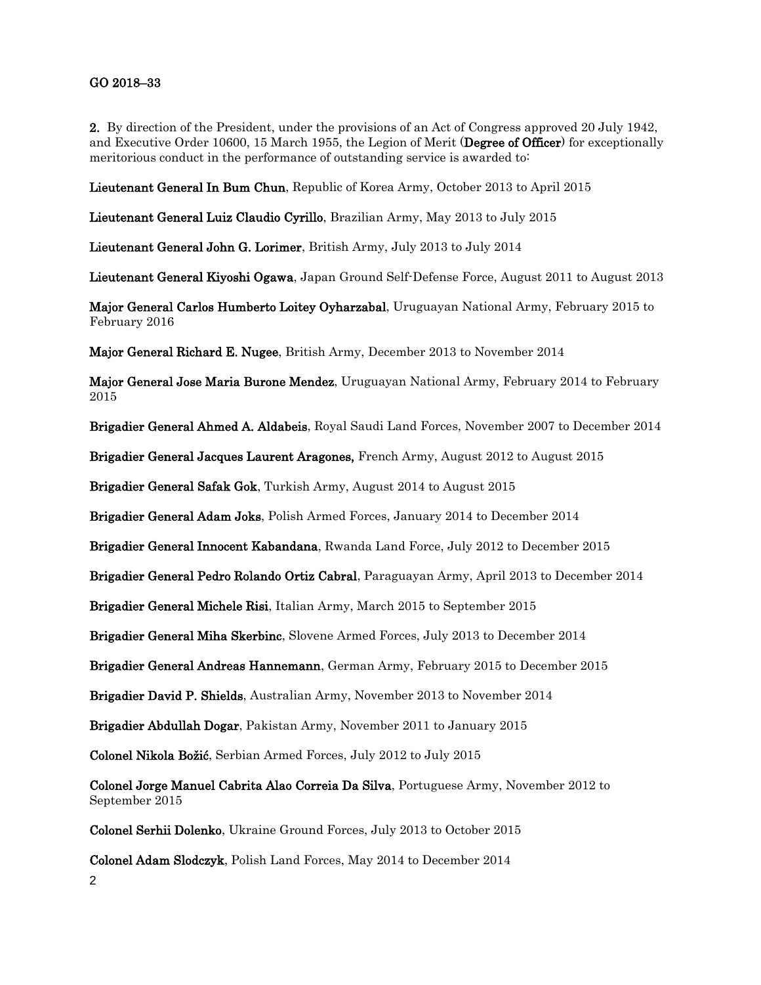### GO 2018–33

2. By direction of the President, under the provisions of an Act of Congress approved 20 July 1942, and Executive Order 10600, 15 March 1955, the Legion of Merit (Degree of Officer) for exceptionally meritorious conduct in the performance of outstanding service is awarded to:

Lieutenant General In Bum Chun, Republic of Korea Army, October 2013 to April 2015

Lieutenant General Luiz Claudio Cyrillo, Brazilian Army, May 2013 to July 2015

Lieutenant General John G. Lorimer, British Army, July 2013 to July 2014

Lieutenant General Kiyoshi Ogawa, Japan Ground Self-Defense Force, August 2011 to August 2013

Major General Carlos Humberto Loitey Oyharzabal, Uruguayan National Army, February 2015 to February 2016

Major General Richard E. Nugee, British Army, December 2013 to November 2014

Major General Jose Maria Burone Mendez, Uruguayan National Army, February 2014 to February 2015

Brigadier General Ahmed A. Aldabeis, Royal Saudi Land Forces, November 2007 to December 2014

Brigadier General Jacques Laurent Aragones, French Army, August 2012 to August 2015

Brigadier General Safak Gok, Turkish Army, August 2014 to August 2015

Brigadier General Adam Joks, Polish Armed Forces, January 2014 to December 2014

Brigadier General Innocent Kabandana, Rwanda Land Force, July 2012 to December 2015

Brigadier General Pedro Rolando Ortiz Cabral, Paraguayan Army, April 2013 to December 2014

Brigadier General Michele Risi, Italian Army, March 2015 to September 2015

Brigadier General Miha Skerbinc, Slovene Armed Forces, July 2013 to December 2014

Brigadier General Andreas Hannemann, German Army, February 2015 to December 2015

Brigadier David P. Shields, Australian Army, November 2013 to November 2014

Brigadier Abdullah Dogar, Pakistan Army, November 2011 to January 2015

Colonel Nikola Božić, Serbian Armed Forces, July 2012 to July 2015

Colonel Jorge Manuel Cabrita Alao Correia Da Silva, Portuguese Army, November 2012 to September 2015

Colonel Serhii Dolenko, Ukraine Ground Forces, July 2013 to October 2015

2 Colonel Adam Slodczyk, Polish Land Forces, May 2014 to December 2014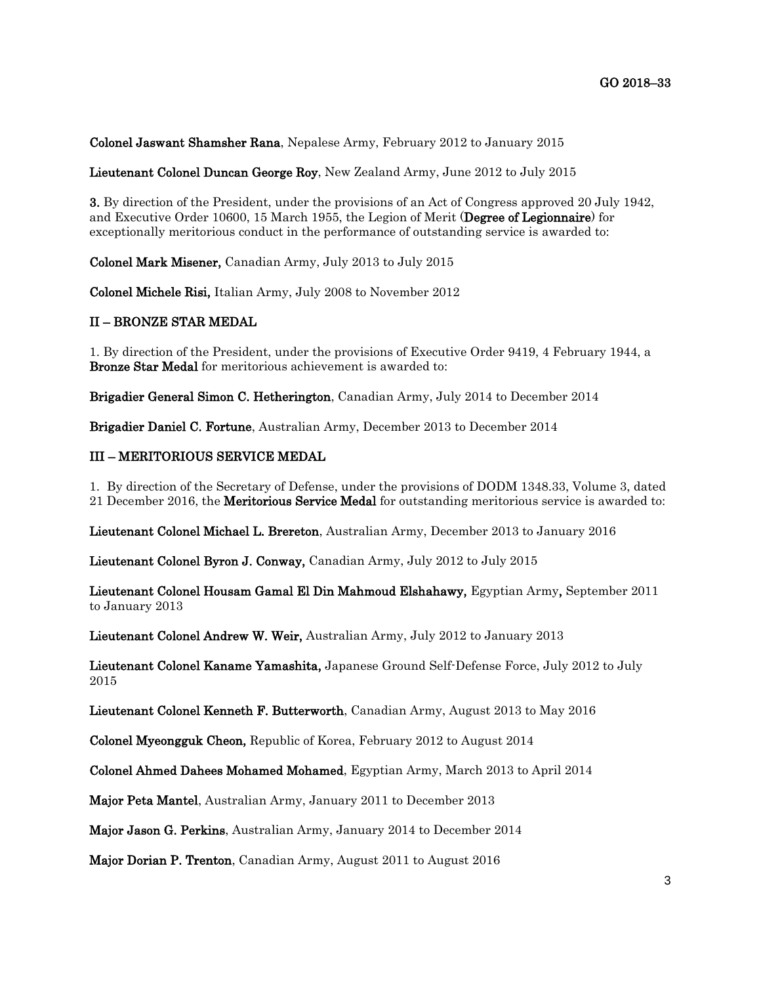#### Colonel Jaswant Shamsher Rana, Nepalese Army, February 2012 to January 2015

#### Lieutenant Colonel Duncan George Roy, New Zealand Army, June 2012 to July 2015

3. By direction of the President, under the provisions of an Act of Congress approved 20 July 1942, and Executive Order 10600, 15 March 1955, the Legion of Merit (Degree of Legionnaire) for exceptionally meritorious conduct in the performance of outstanding service is awarded to:

Colonel Mark Misener, Canadian Army, July 2013 to July 2015

Colonel Michele Risi, Italian Army, July 2008 to November 2012

#### II – BRONZE STAR MEDAL

1. By direction of the President, under the provisions of Executive Order 9419, 4 February 1944, a Bronze Star Medal for meritorious achievement is awarded to:

Brigadier General Simon C. Hetherington, Canadian Army, July 2014 to December 2014

Brigadier Daniel C. Fortune, Australian Army, December 2013 to December 2014

#### III – MERITORIOUS SERVICE MEDAL

1. By direction of the Secretary of Defense, under the provisions of DODM 1348.33, Volume 3, dated 21 December 2016, the Meritorious Service Medal for outstanding meritorious service is awarded to:

Lieutenant Colonel Michael L. Brereton, Australian Army, December 2013 to January 2016

Lieutenant Colonel Byron J. Conway, Canadian Army, July 2012 to July 2015

Lieutenant Colonel Housam Gamal El Din Mahmoud Elshahawy, Egyptian Army, September 2011 to January 2013

Lieutenant Colonel Andrew W. Weir, Australian Army, July 2012 to January 2013

Lieutenant Colonel Kaname Yamashita, Japanese Ground Self-Defense Force, July 2012 to July 2015

Lieutenant Colonel Kenneth F. Butterworth, Canadian Army, August 2013 to May 2016

Colonel Myeongguk Cheon, Republic of Korea, February 2012 to August 2014

Colonel Ahmed Dahees Mohamed Mohamed, Egyptian Army, March 2013 to April 2014

Major Peta Mantel, Australian Army, January 2011 to December 2013

Major Jason G. Perkins, Australian Army, January 2014 to December 2014

Major Dorian P. Trenton, Canadian Army, August 2011 to August 2016